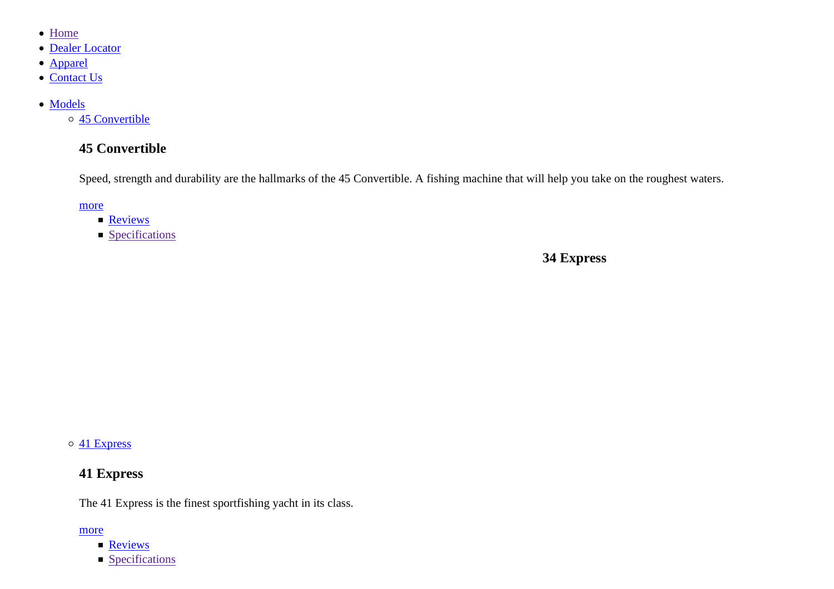- Home
- Dealer Locator
- Apparel
- Contact Us
- Models

45 Convertible

### **45 Convertible**

Speed, strength and durability are the hallmarks of the 45 Convertible. A fishing machine that will help you take on the roughest waters.

more

- **Reviews**
- **Specifications**

**34 Express**

41 Express

### **41 Express**

The 41 Express is the finest sportfishing yacht in its class.

#### more

- **Reviews**
- **Specifications**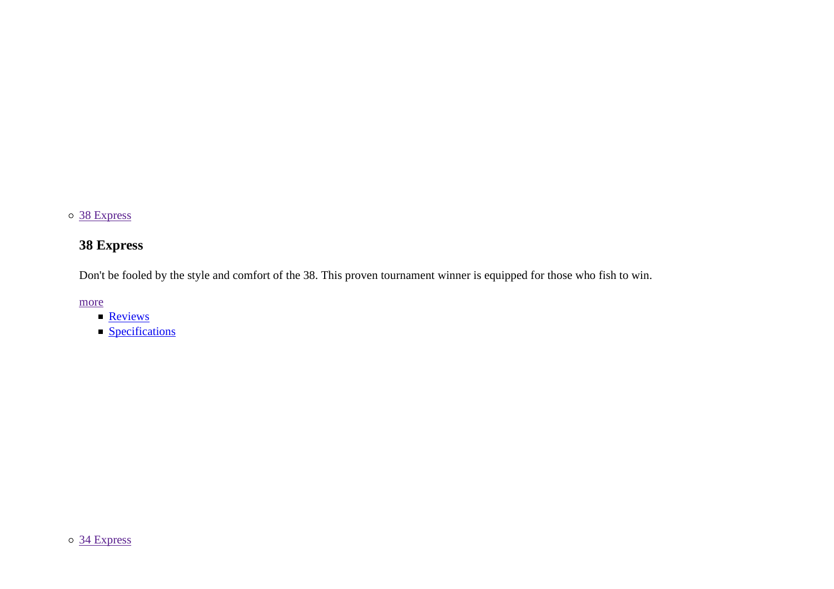### 38 Express

# **38 Express**

Don't be fooled by the style and comfort of the 38. This proven tournament winner is equipped for those who fish to win.

more

- **Reviews**
- **Specifications**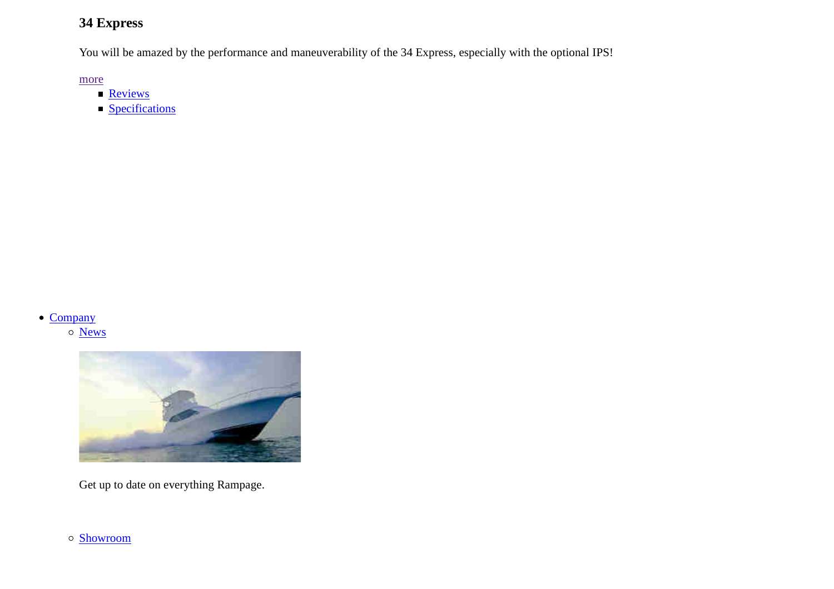### **34 Express**

You will be amazed by the performance and maneuverability of the 34 Express, especially with the optional IPS!

more

- **Reviews**
- **Specifications**

#### • Company

News



Get up to date on everything Rampage.

o **Showroom**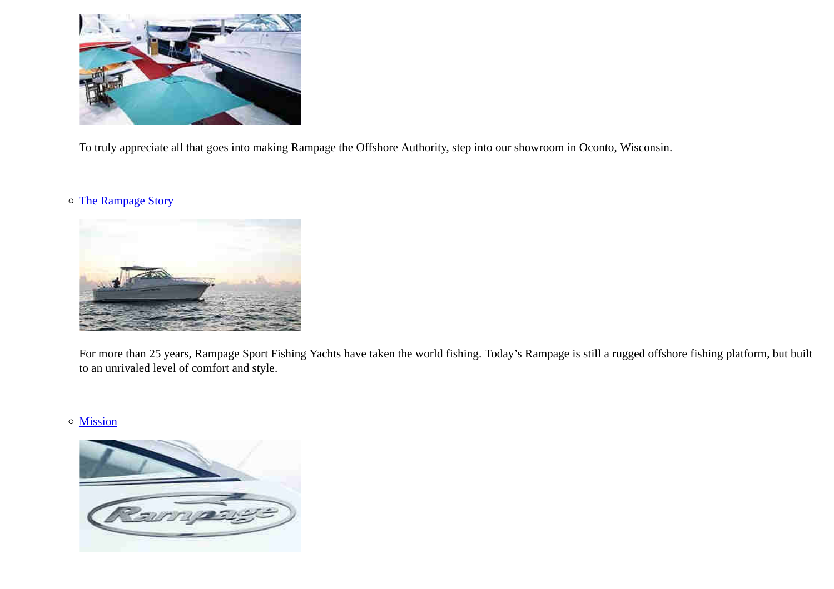

To truly appreciate all that goes into making Rampage the Offshore Authority, step into our showroom in Oconto, Wisconsin.

### o The Rampage Story



For more than 25 years, Rampage Sport Fishing Yachts have taken the world fishing. Today's Rampage is still a rugged offshore fishing platform, but built to an unrivaled level of comfort and style.

### Mission

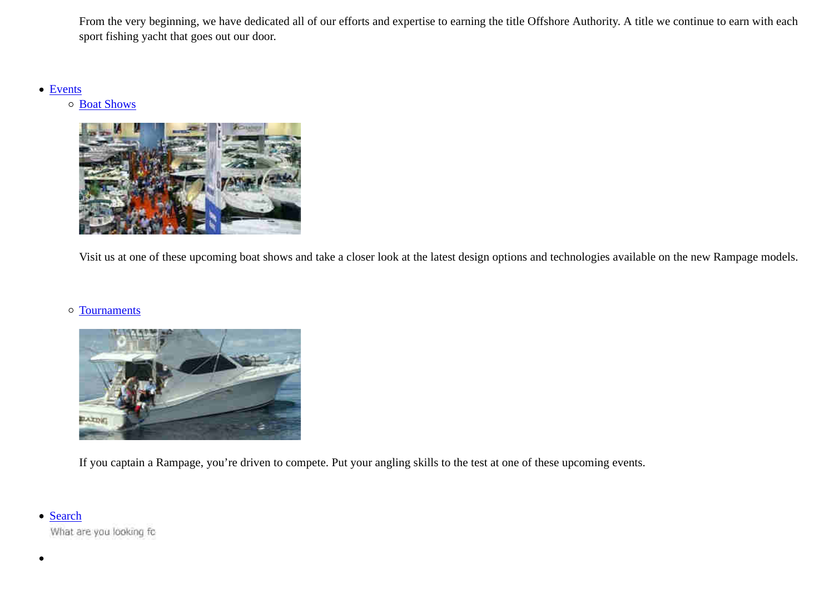From the very beginning, we have dedicated all of our efforts and expertise to earning the title Offshore Authority. A title we continue to earn with eachsport fishing yacht that goes out our door.

Events

Boat Shows



Visit us at one of these upcoming boat shows and take a closer look at the latest design options and technologies available on the new Rampage models.

#### Tournaments



If you captain a Rampage, you're driven to compete. Put your angling skills to the test at one of these upcoming events.

#### • Search

What are you looking fo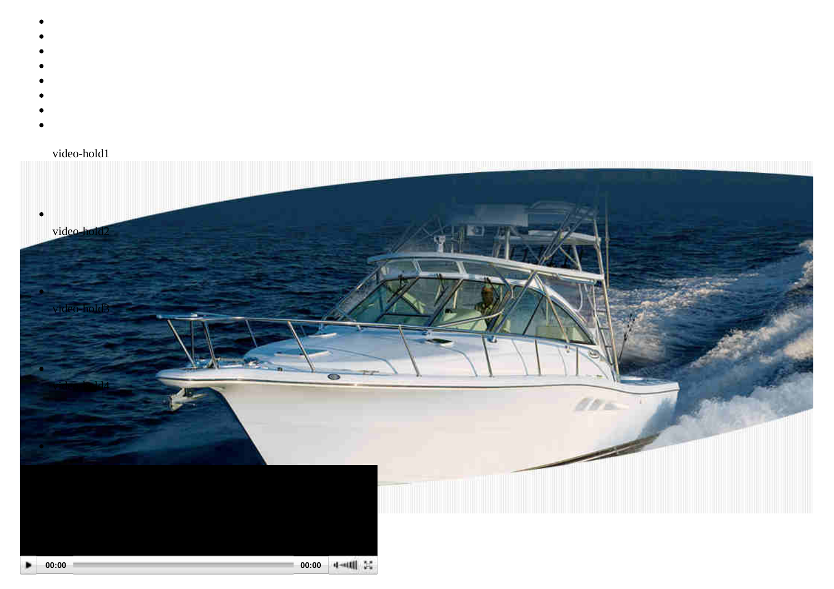- 
- 
- 
- 
- 
- 
- 
- 
- 

### video-hold1

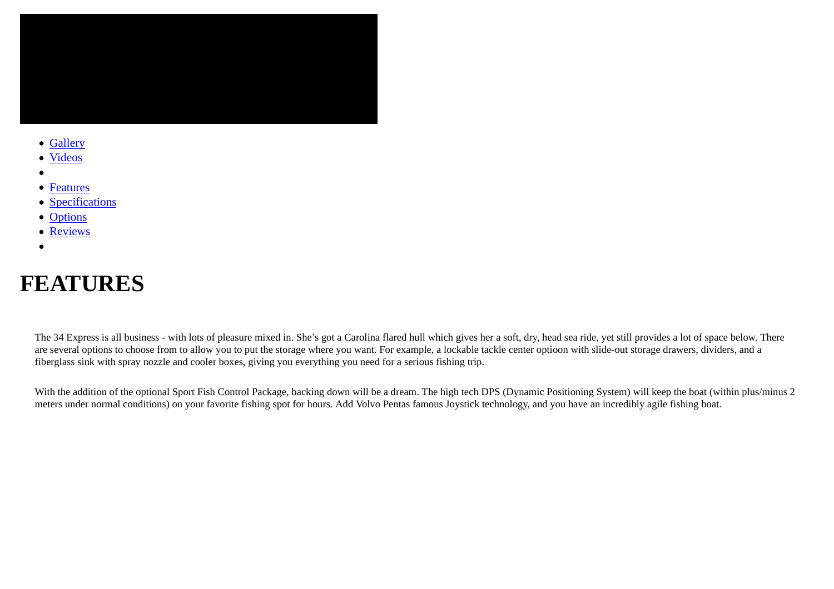

- Gallery
- Videos
- $\bullet$
- Features
- **Specifications**
- Options
- Reviews
- 

# **FEATURES**

The 34 Express is all business - with lots of pleasure mixed in. She's got a Carolina flared hull which gives her a soft, dry, head sea ride, yet still provides a lot of space below. Thereare several options to choose from to allow you to put the storage where you want. For example, a lockable tackle center optioon with slide-out storage drawers, dividers, and a fiberglass sink with spray nozzle and cooler boxes, giving you everything you need for a serious fishing trip.

With the addition of the optional Sport Fish Control Package, backing down will be a dream. The high tech DPS (Dynamic Positioning System) will keep the boat (within plus/minus 2 meters under normal conditions) on your favorite fishing spot for hours. Add Volvo Pentas famous Joystick technology, and you have an incredibly agile fishing boat.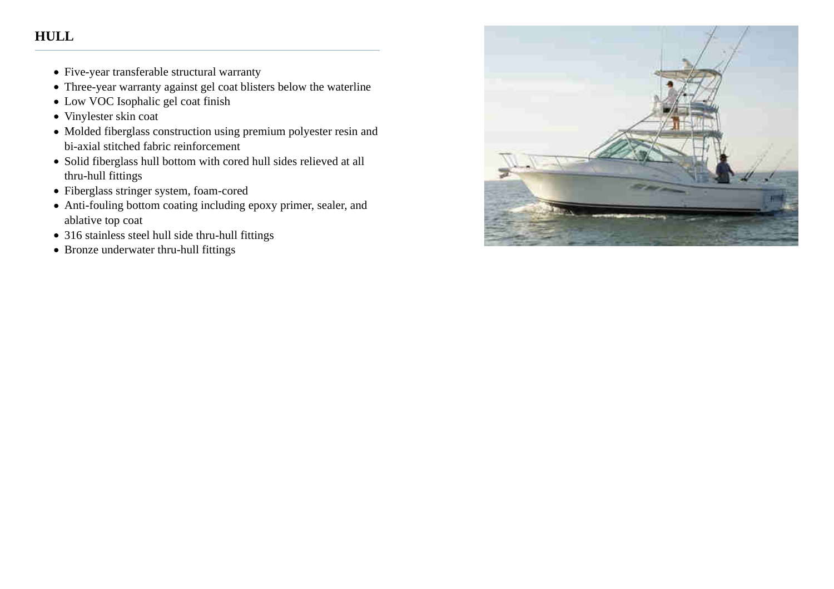### **HULL**

- Five-year transferable structural warranty
- Three-year warranty against gel coat blisters below the waterline
- Low VOC Isophalic gel coat finish
- Vinylester skin coat
- Molded fiberglass construction using premium polyester resin and bi-axial stitched fabric reinforcement
- Solid fiberglass hull bottom with cored hull sides relieved at allthru-hull fittings
- Fiberglass stringer system, foam-cored
- Anti-fouling bottom coating including epoxy primer, sealer, andablative top coat
- 316 stainless steel hull side thru-hull fittings
- Bronze underwater thru-hull fittings

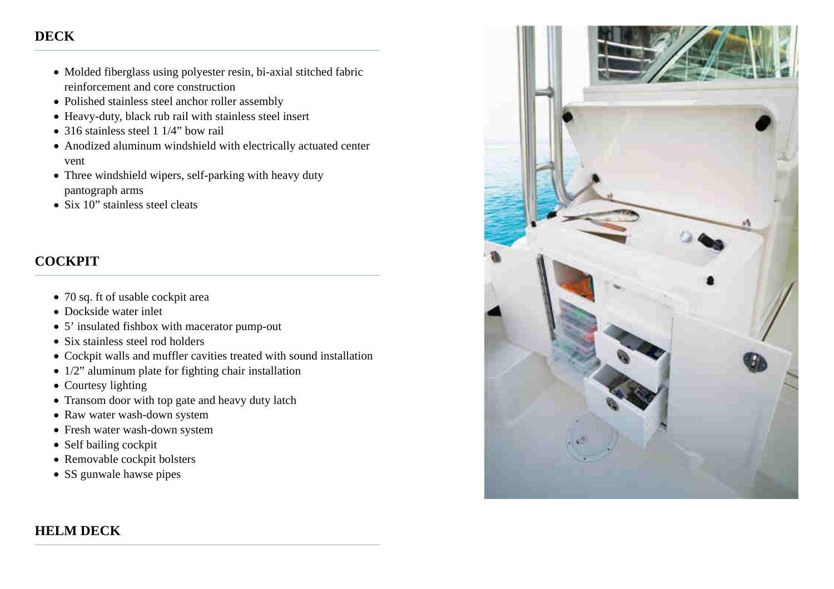### **DECK**

- Molded fiberglass using polyester resin, bi-axial stitched fabricreinforcement and core construction
- Polished stainless steel anchor roller assembly
- Heavy-duty, black rub rail with stainless steel insert
- 316 stainless steel 1 1/4" bow rail
- Anodized aluminum windshield with electrically actuated centervent
- Three windshield wipers, self-parking with heavy dutypantograph arms
- Six 10" stainless steel cleats

### **COCKPIT**

- 70 sq. ft of usable cockpit area
- Dockside water inlet
- 5' insulated fishbox with macerator pump-out
- Six stainless steel rod holders
- Cockpit walls and muffler cavities treated with sound installation
- $\bullet$  1/2" aluminum plate for fighting chair installation
- Courtesy lighting
- Transom door with top gate and heavy duty latch
- Raw water wash-down system
- Fresh water wash-down system
- Self bailing cockpit
- Removable cockpit bolsters
- SS gunwale hawse pipes

### **HELM DECK**

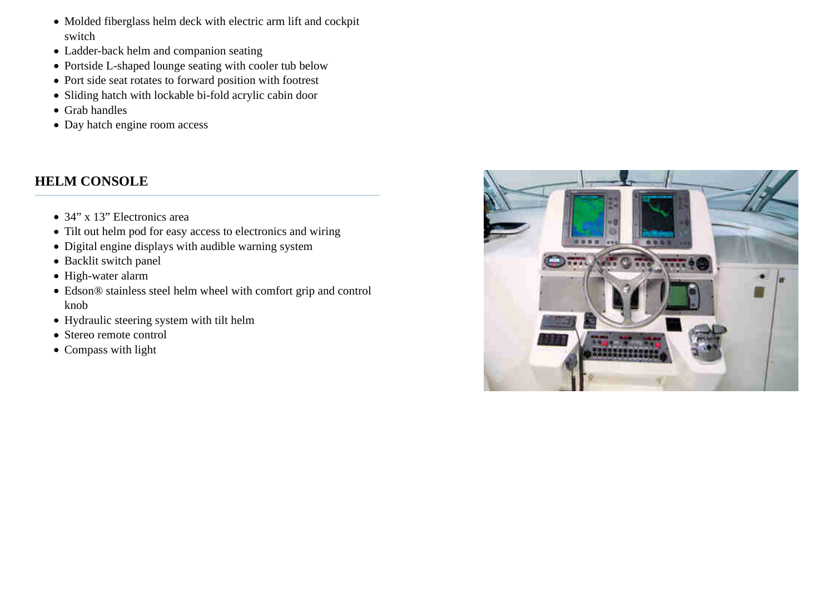- Molded fiberglass helm deck with electric arm lift and cockpitswitch
- Ladder-back helm and companion seating
- Portside L-shaped lounge seating with cooler tub below
- Port side seat rotates to forward position with footrest
- Sliding hatch with lockable bi-fold acrylic cabin door
- Grab handles
- Day hatch engine room access

### **HELM CONSOLE**

- 34" x 13" Electronics area
- Tilt out helm pod for easy access to electronics and wiring
- Digital engine displays with audible warning system
- Backlit switch panel
- High-water alarm
- Edson® stainless steel helm wheel with comfort grip and controlknob
- Hydraulic steering system with tilt helm
- Stereo remote control
- Compass with light

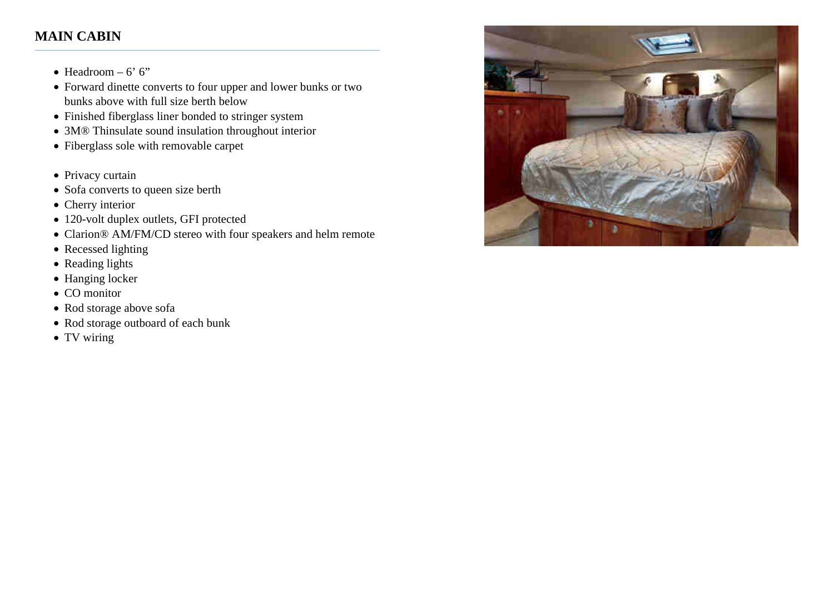### **MAIN CABIN**

- $\bullet$  Headroom 6' 6"
- Forward dinette converts to four upper and lower bunks or twobunks above with full size berth below
- Finished fiberglass liner bonded to stringer system
- 3M® Thinsulate sound insulation throughout interior
- Fiberglass sole with removable carpet
- Privacy curtain
- Sofa converts to queen size berth
- Cherry interior
- 120-volt duplex outlets, GFI protected
- Clarion® AM/FM/CD stereo with four speakers and helm remote
- Recessed lighting
- Reading lights
- Hanging locker
- CO monitor
- Rod storage above sofa
- Rod storage outboard of each bunk
- TV wiring

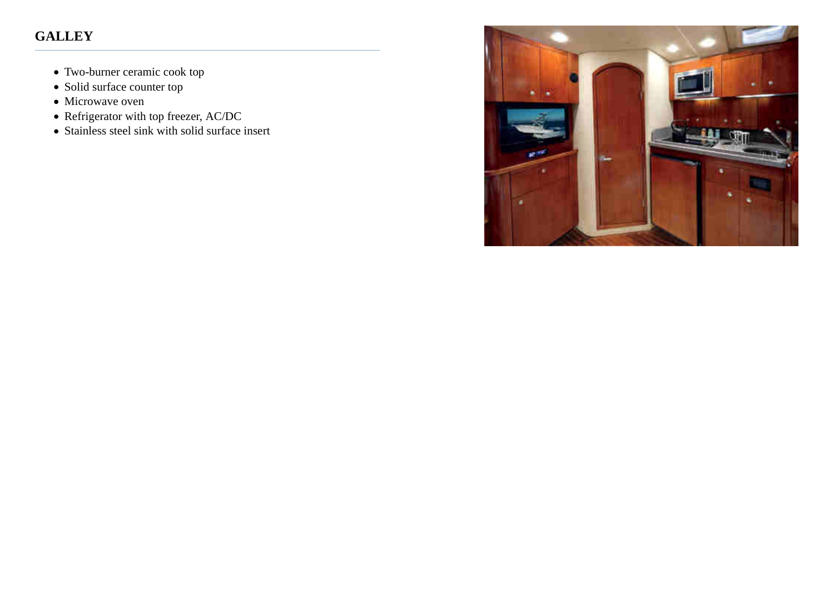# **GALLEY**

- Two-burner ceramic cook top
- Solid surface counter top
- Microwave oven
- Refrigerator with top freezer, AC/DC
- Stainless steel sink with solid surface insert

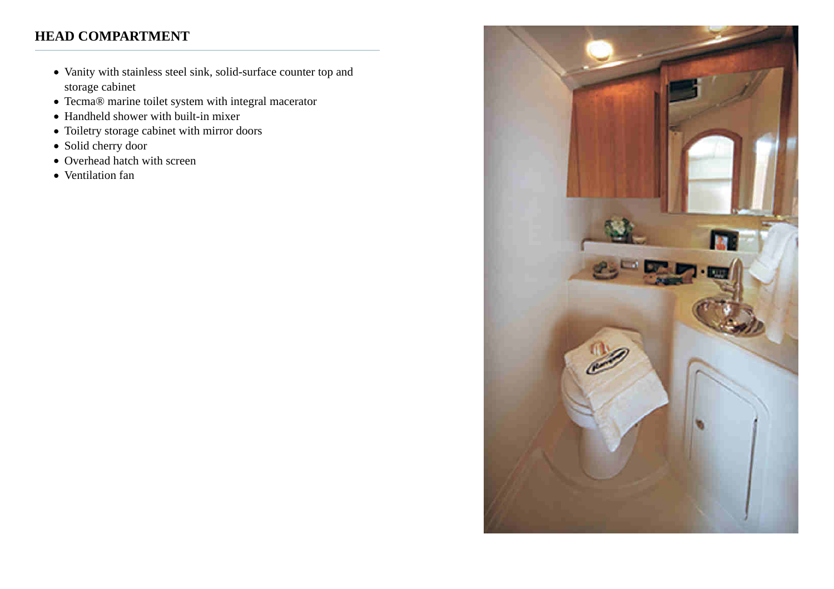### **HEAD COMPARTMENT**

- Vanity with stainless steel sink, solid-surface counter top andstorage cabinet
- Tecma® marine toilet system with integral macerator
- Handheld shower with built-in mixer
- Toiletry storage cabinet with mirror doors
- Solid cherry door
- Overhead hatch with screen
- Ventilation fan

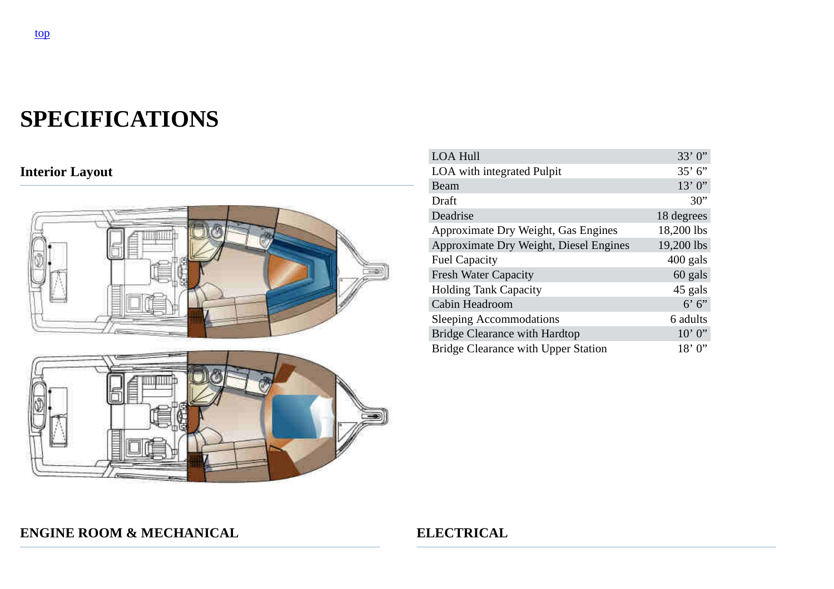# **SPECIFICATIONS**

# **Interior Layout**



| <b>LOA Hull</b>                            | 33'0'      |
|--------------------------------------------|------------|
| LOA with integrated Pulpit                 | 35' 6''    |
| Beam                                       | 13'0'      |
| Draft                                      | 30"        |
| Deadrise                                   | 18 degrees |
| Approximate Dry Weight, Gas Engines        | 18,200 lbs |
| Approximate Dry Weight, Diesel Engines     | 19,200 lbs |
| <b>Fuel Capacity</b>                       | $400$ gals |
| <b>Fresh Water Capacity</b>                | 60 gals    |
| <b>Holding Tank Capacity</b>               | 45 gals    |
| Cabin Headroom                             | 6'6'       |
| <b>Sleeping Accommodations</b>             | 6 adults   |
| <b>Bridge Clearance with Hardtop</b>       | $10'$ 0"   |
| <b>Bridge Clearance with Upper Station</b> | 18'0'      |

### **ENGINE ROOM & MECHANICAL ELECTRICAL**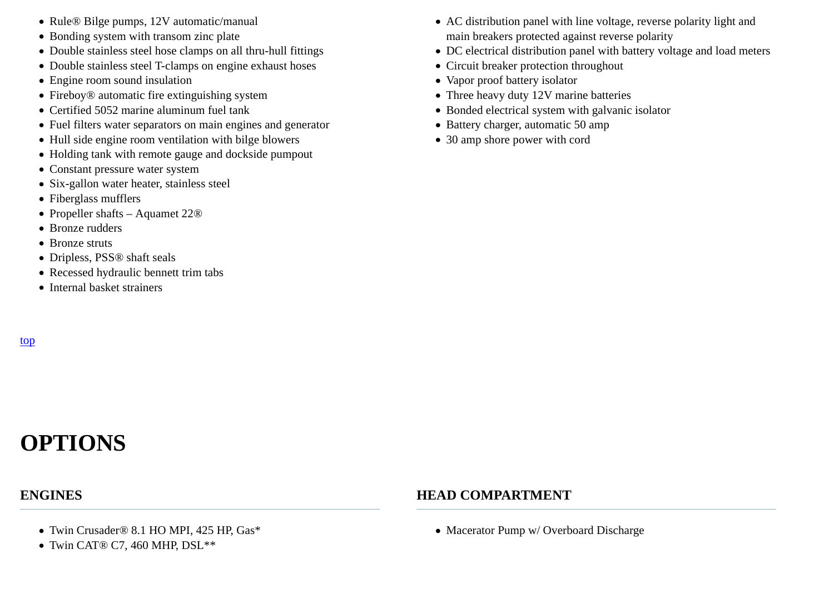- Rule® Bilge pumps, 12V automatic/manual
- Bonding system with transom zinc plate
- Double stainless steel hose clamps on all thru-hull fittings
- Double stainless steel T-clamps on engine exhaust hoses
- Engine room sound insulation
- Fireboy® automatic fire extinguishing system
- Certified 5052 marine aluminum fuel tank
- Fuel filters water separators on main engines and generator
- Hull side engine room ventilation with bilge blowers
- Holding tank with remote gauge and dockside pumpout
- Constant pressure water system
- Six-gallon water heater, stainless steel
- Fiberglass mufflers
- Propeller shafts Aquamet 22®
- Bronze rudders
- Bronze struts
- Dripless, PSS® shaft seals
- Recessed hydraulic bennett trim tabs
- Internal basket strainers
- AC distribution panel with line voltage, reverse polarity light andmain breakers protected against reverse polarity
- DC electrical distribution panel with battery voltage and load meters
- Circuit breaker protection throughout
- Vapor proof battery isolator
- Three heavy duty 12V marine batteries
- Bonded electrical system with galvanic isolator
- Battery charger, automatic 50 amp
- 30 amp shore power with cord

# top

# **OPTIONS**

### **ENGINES**

### **HEAD COMPARTMENT**

- Twin Crusader® 8.1 HO MPI, 425 HP, Gas\*
- Twin CAT® C7, 460 MHP, DSL\*\*

• Macerator Pump w/ Overboard Discharge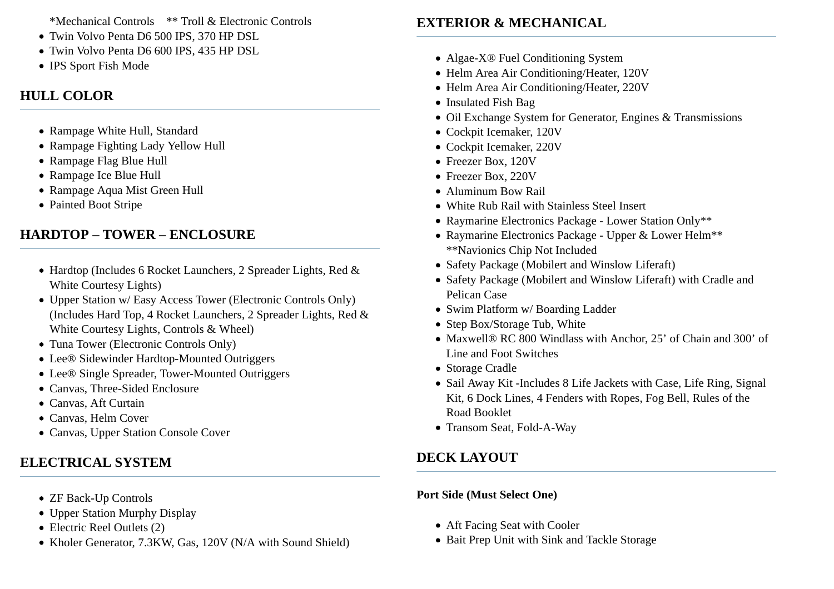\*Mechanical Controls \*\* Troll & Electronic Controls

- Twin Volvo Penta D6 500 IPS, 370 HP DSL
- Twin Volvo Penta D6 600 IPS, 435 HP DSL
- IPS Sport Fish Mode

### **HULL COLOR**

- Rampage White Hull, Standard
- Rampage Fighting Lady Yellow Hull
- Rampage Flag Blue Hull
- Rampage Ice Blue Hull
- Rampage Aqua Mist Green Hull
- Painted Boot Stripe

# **HARDTOP – TOWER – ENCLOSURE**

- Hardtop (Includes 6 Rocket Launchers, 2 Spreader Lights, Red &White Courtesy Lights)
- Upper Station w/ Easy Access Tower (Electronic Controls Only) (Includes Hard Top, 4 Rocket Launchers, 2 Spreader Lights, Red &White Courtesy Lights, Controls & Wheel)
- Tuna Tower (Electronic Controls Only)
- Lee® Sidewinder Hardtop-Mounted Outriggers
- Lee® Single Spreader, Tower-Mounted Outriggers
- Canvas, Three-Sided Enclosure
- Canvas, Aft Curtain
- Canvas, Helm Cover
- Canvas, Upper Station Console Cover

# **ELECTRICAL SYSTEM**

- ZF Back-Up Controls
- Upper Station Murphy Display
- Electric Reel Outlets (2)
- Kholer Generator, 7.3KW, Gas, 120V (N/A with Sound Shield)

# **EXTERIOR & MECHANICAL**

- Algae-X® Fuel Conditioning System
- Helm Area Air Conditioning/Heater, 120V
- Helm Area Air Conditioning/Heater, 220V
- Insulated Fish Bag
- Oil Exchange System for Generator, Engines & Transmissions
- Cockpit Icemaker, 120V
- Cockpit Icemaker, 220V
- Freezer Box, 120V
- Freezer Box, 220V
- Aluminum Bow Rail
- White Rub Rail with Stainless Steel Insert
- Raymarine Electronics Package Lower Station Only\*\*
- Raymarine Electronics Package Upper & Lower Helm\*\*\*\*Navionics Chip Not Included
- Safety Package (Mobilert and Winslow Liferaft)
- Safety Package (Mobilert and Winslow Liferaft) with Cradle andPelican Case
- Swim Platform w/ Boarding Ladder
- Step Box/Storage Tub, White
- Maxwell® RC 800 Windlass with Anchor, 25' of Chain and 300' ofLine and Foot Switches
- Storage Cradle
- Sail Away Kit -Includes 8 Life Jackets with Case, Life Ring, SignalKit, 6 Dock Lines, 4 Fenders with Ropes, Fog Bell, Rules of theRoad Booklet
- Transom Seat, Fold-A-Way

# **DECK LAYOUT**

### **Port Side (Must Select One)**

- Aft Facing Seat with Cooler
- Bait Prep Unit with Sink and Tackle Storage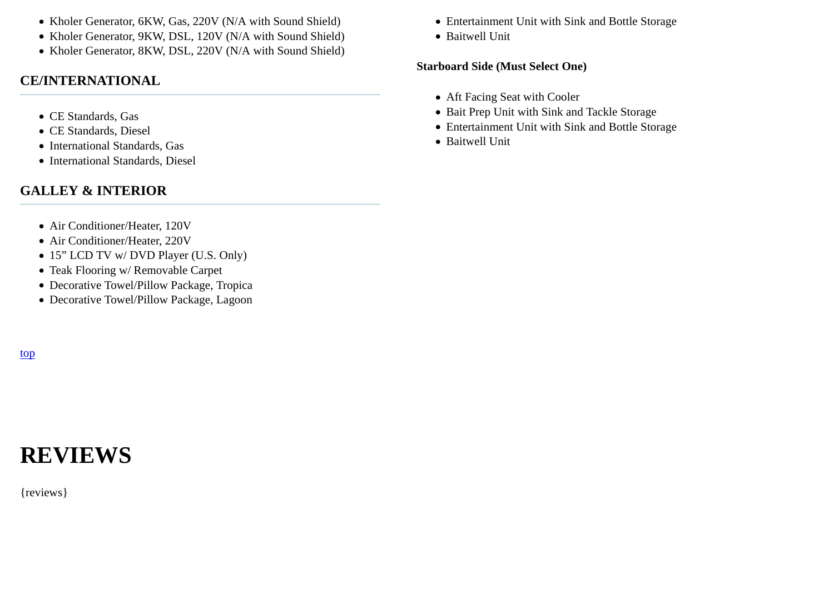- Kholer Generator, 6KW, Gas, 220V (N/A with Sound Shield)
- Kholer Generator, 9KW, DSL, 120V (N/A with Sound Shield)
- Kholer Generator, 8KW, DSL, 220V (N/A with Sound Shield)

### **CE/INTERNATIONAL**

- CE Standards, Gas
- CE Standards, Diesel
- International Standards, Gas
- International Standards, Diesel

### **GALLEY & INTERIOR**

- Air Conditioner/Heater, 120V
- Air Conditioner/Heater, 220V
- 15" LCD TV w/ DVD Player (U.S. Only)
- Teak Flooring w/ Removable Carpet
- Decorative Towel/Pillow Package, Tropica
- Decorative Towel/Pillow Package, Lagoon

top

# **REVIEWS**

{reviews}

- Entertainment Unit with Sink and Bottle Storage
- Baitwell Unit

### **Starboard Side (Must Select One)**

- Aft Facing Seat with Cooler
- Bait Prep Unit with Sink and Tackle Storage
- Entertainment Unit with Sink and Bottle Storage
- Baitwell Unit